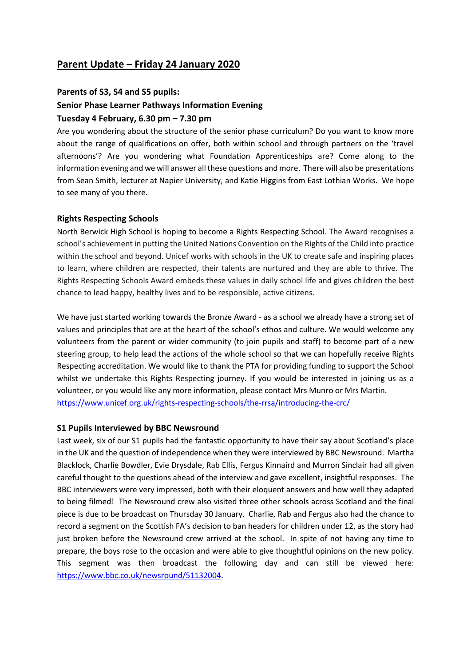# **Parent Update – Friday 24 January 2020**

#### **Parents of S3, S4 and S5 pupils:**

#### **Senior Phase Learner Pathways Information Evening**

#### **Tuesday 4 February, 6.30 pm – 7.30 pm**

Are you wondering about the structure of the senior phase curriculum? Do you want to know more about the range of qualifications on offer, both within school and through partners on the 'travel afternoons'? Are you wondering what Foundation Apprenticeships are? Come along to the information evening and we will answer all these questions and more. There will also be presentations from Sean Smith, lecturer at Napier University, and Katie Higgins from East Lothian Works. We hope to see many of you there.

#### **Rights Respecting Schools**

North Berwick High School is hoping to become a Rights Respecting School. The Award recognises a school's achievement in putting the United Nations Convention on the Rights of the Child into practice within the school and beyond. Unicef works with schools in the UK to create safe and inspiring places to learn, where children are respected, their talents are nurtured and they are able to thrive. The Rights Respecting Schools Award embeds these values in daily school life and gives children the best chance to lead happy, healthy lives and to be responsible, active citizens.

We have just started working towards the Bronze Award - as a school we already have a strong set of values and principles that are at the heart of the school's ethos and culture. We would welcome any volunteers from the parent or wider community (to join pupils and staff) to become part of a new steering group, to help lead the actions of the whole school so that we can hopefully receive Rights Respecting accreditation. We would like to thank the PTA for providing funding to support the School whilst we undertake this Rights Respecting journey. If you would be interested in joining us as a volunteer, or you would like any more information, please contact Mrs Munro or Mrs Martin. <https://www.unicef.org.uk/rights-respecting-schools/the-rrsa/introducing-the-crc/>

#### **S1 Pupils Interviewed by BBC Newsround**

Last week, six of our S1 pupils had the fantastic opportunity to have their say about Scotland's place in the UK and the question of independence when they were interviewed by BBC Newsround. Martha Blacklock, Charlie Bowdler, Evie Drysdale, Rab Ellis, Fergus Kinnaird and Murron Sinclair had all given careful thought to the questions ahead of the interview and gave excellent, insightful responses. The BBC interviewers were very impressed, both with their eloquent answers and how well they adapted to being filmed! The Newsround crew also visited three other schools across Scotland and the final piece is due to be broadcast on Thursday 30 January. Charlie, Rab and Fergus also had the chance to record a segment on the Scottish FA's decision to ban headers for children under 12, as the story had just broken before the Newsround crew arrived at the school. In spite of not having any time to prepare, the boys rose to the occasion and were able to give thoughtful opinions on the new policy. This segment was then broadcast the following day and can still be viewed here: [https://www.bbc.co.uk/newsround/51132004.](https://www.bbc.co.uk/newsround/51132004)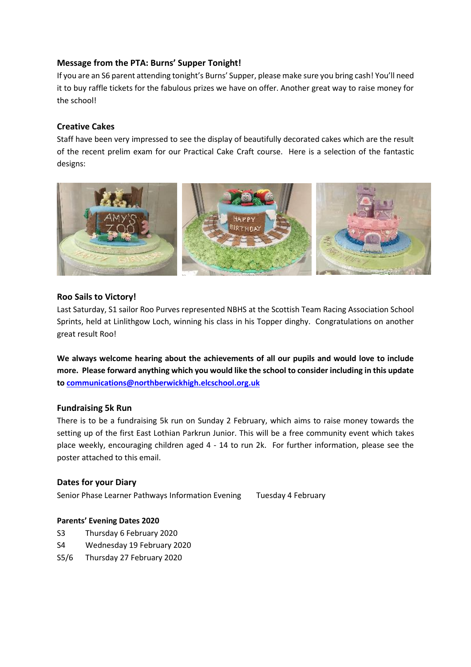## **Message from the PTA: Burns' Supper Tonight!**

If you are an S6 parent attending tonight's Burns' Supper, please make sure you bring cash! You'll need it to buy raffle tickets for the fabulous prizes we have on offer. Another great way to raise money for the school!

## **Creative Cakes**

Staff have been very impressed to see the display of beautifully decorated cakes which are the result of the recent prelim exam for our Practical Cake Craft course. Here is a selection of the fantastic designs:



## **Roo Sails to Victory!**

Last Saturday, S1 sailor Roo Purves represented NBHS at the Scottish Team Racing Association School Sprints, held at Linlithgow Loch, winning his class in his Topper dinghy. Congratulations on another great result Roo!

**We always welcome hearing about the achievements of all our pupils and would love to include more. Please forward anything which you would like the school to consider including in this update to [communications@northberwickhigh.elcschool.org.uk](mailto:communications@northberwickhigh.elcschool.org.uk)**

## **Fundraising 5k Run**

There is to be a fundraising 5k run on Sunday 2 February, which aims to raise money towards the setting up of the first East Lothian Parkrun Junior. This will be a free community event which takes place weekly, encouraging children aged 4 - 14 to run 2k. For further information, please see the poster attached to this email.

## **Dates for your Diary**

Senior Phase Learner Pathways Information Evening Tuesday 4 February

# **Parents' Evening Dates 2020**

- S3 Thursday 6 February 2020
- S4 Wednesday 19 February 2020
- S5/6 Thursday 27 February 2020